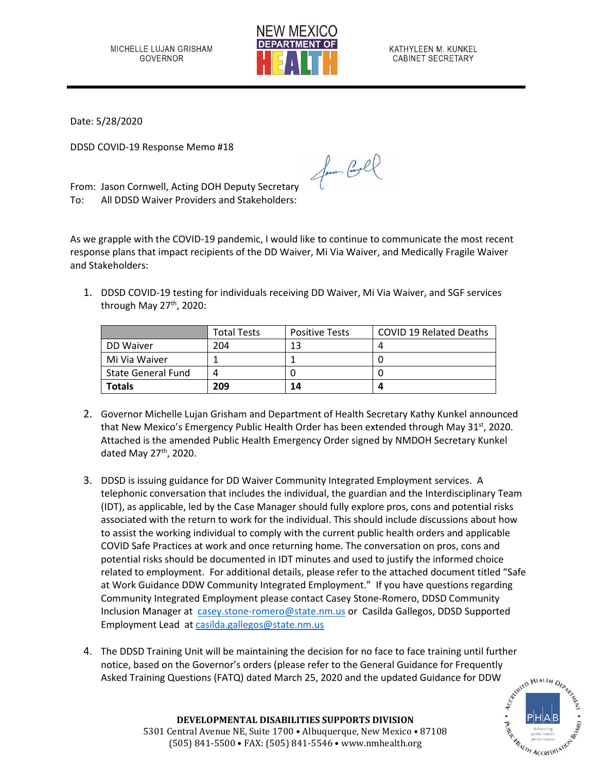

KATHYLEEN M. KUNKEL CABINET SECRETARY

Date: 5/28/2020

DDSD COVID-19 Response Memo #18

From: Jason Cornwell, Acting DOH Deputy Secretary To: All DDSD Waiver Providers and Stakeholders:

As we grapple with the COVID-19 pandemic, I would like to continue to communicate the most recent response plans that impact recipients of the DD Waiver, Mi Via Waiver, and Medically Fragile Waiver and Stakeholders:

for Cool

1. DDSD COVID-19 testing for individuals receiving DD Waiver, Mi Via Waiver, and SGF services through May 27<sup>th</sup>, 2020:

|                           | <b>Total Tests</b> | <b>Positive Tests</b> | <b>COVID 19 Related Deaths</b> |
|---------------------------|--------------------|-----------------------|--------------------------------|
| DD Waiver                 | 204                | 13                    |                                |
| Mi Via Waiver             |                    |                       |                                |
| <b>State General Fund</b> |                    |                       |                                |
| <b>Totals</b>             | 209                | 14                    |                                |

- 2. Governor Michelle Lujan Grisham and Department of Health Secretary Kathy Kunkel announced that New Mexico's Emergency Public Health Order has been extended through May 31<sup>st</sup>, 2020. Attached is the amended Public Health Emergency Order signed by NMDOH Secretary Kunkel dated May  $27<sup>th</sup>$ , 2020.
- 3. DDSD is issuing guidance for DD Waiver Community Integrated Employment services. A telephonic conversation that includes the individual, the guardian and the Interdisciplinary Team (IDT), as applicable, led by the Case Manager should fully explore pros, cons and potential risks associated with the return to work for the individual. This should include discussions about how to assist the working individual to comply with the current public health orders and applicable COVID Safe Practices at work and once returning home. The conversation on pros, cons and potential risks should be documented in IDT minutes and used to justify the informed choice related to employment. For additional details, please refer to the attached document titled "Safe at Work Guidance DDW Community Integrated Employment." If you have questions regarding Community Integrated Employment please contact Casey Stone-Romero, DDSD Community Inclusion Manager at [casey.stone-romero@state.nm.us](mailto:casey.stone-romero@state.nm.us) or Casilda Gallegos, DDSD Supported Employment Lead a[t casilda.gallegos@state.nm.us](mailto:casilda.gallegos@state.nm.us)
- 4. The DDSD Training Unit will be maintaining the decision for no face to face training until further notice, based on the Governor's orders (please refer to the General Guidance for Frequently Asked Training Questions (FATQ) dated March 25, 2020 and the updated Guidance for DDW



**DEVELOPMENTAL DISABILITIES SUPPORTS DIVISION** 5301 Central Avenue NE, Suite 1700 • Albuquerque, New Mexico • 87108 (505) 841-5500 • FAX: (505) 841-5546 • www.nmhealth.org